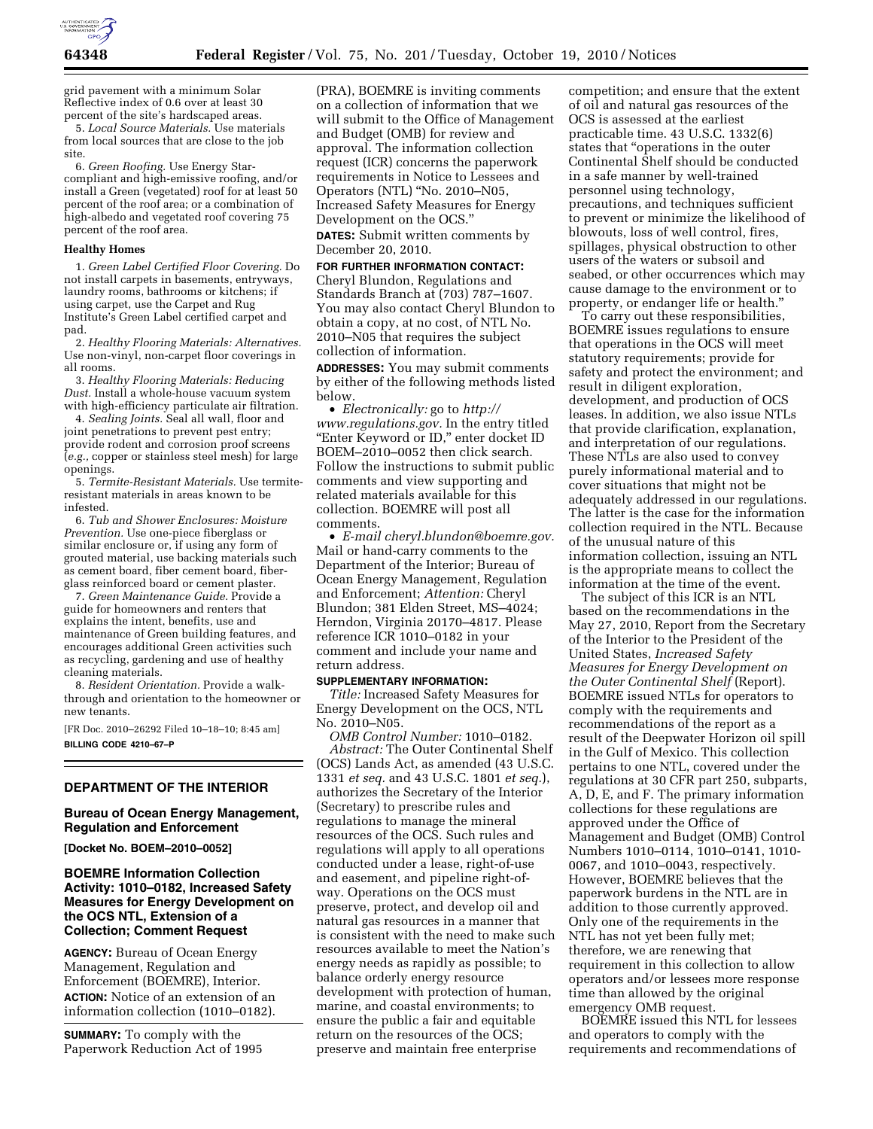

grid pavement with a minimum Solar Reflective index of 0.6 over at least 30 percent of the site's hardscaped areas.

5. *Local Source Materials.* Use materials from local sources that are close to the job site.

6. *Green Roofing.* Use Energy Starcompliant and high-emissive roofing, and/or install a Green (vegetated) roof for at least 50 percent of the roof area; or a combination of high-albedo and vegetated roof covering 75 percent of the roof area.

#### **Healthy Homes**

1. *Green Label Certified Floor Covering.* Do not install carpets in basements, entryways, laundry rooms, bathrooms or kitchens; if using carpet, use the Carpet and Rug Institute's Green Label certified carpet and pad.

2. *Healthy Flooring Materials: Alternatives.*  Use non-vinyl, non-carpet floor coverings in all rooms.

3. *Healthy Flooring Materials: Reducing Dust.* Install a whole-house vacuum system with high-efficiency particulate air filtration.

4. *Sealing Joints.* Seal all wall, floor and joint penetrations to prevent pest entry; provide rodent and corrosion proof screens (*e.g.,* copper or stainless steel mesh) for large openings.

5. *Termite-Resistant Materials.* Use termiteresistant materials in areas known to be infested.

6. *Tub and Shower Enclosures: Moisture Prevention.* Use one-piece fiberglass or similar enclosure or, if using any form of grouted material, use backing materials such as cement board, fiber cement board, fiberglass reinforced board or cement plaster.

7. *Green Maintenance Guide.* Provide a guide for homeowners and renters that explains the intent, benefits, use and maintenance of Green building features, and encourages additional Green activities such as recycling, gardening and use of healthy cleaning materials.

8. *Resident Orientation.* Provide a walkthrough and orientation to the homeowner or new tenants.

[FR Doc. 2010–26292 Filed 10–18–10; 8:45 am] **BILLING CODE 4210–67–P** 

# **DEPARTMENT OF THE INTERIOR**

## **Bureau of Ocean Energy Management, Regulation and Enforcement**

**[Docket No. BOEM–2010–0052]** 

# **BOEMRE Information Collection Activity: 1010–0182, Increased Safety Measures for Energy Development on the OCS NTL, Extension of a Collection; Comment Request**

**AGENCY:** Bureau of Ocean Energy Management, Regulation and Enforcement (BOEMRE), Interior. **ACTION:** Notice of an extension of an information collection (1010–0182).

**SUMMARY:** To comply with the Paperwork Reduction Act of 1995 (PRA), BOEMRE is inviting comments on a collection of information that we will submit to the Office of Management and Budget (OMB) for review and approval. The information collection request (ICR) concerns the paperwork requirements in Notice to Lessees and Operators (NTL) ''No. 2010–N05, Increased Safety Measures for Energy Development on the OCS.''

**DATES:** Submit written comments by December 20, 2010.

**FOR FURTHER INFORMATION CONTACT:**  Cheryl Blundon, Regulations and Standards Branch at (703) 787–1607. You may also contact Cheryl Blundon to obtain a copy, at no cost, of NTL No. 2010–N05 that requires the subject collection of information.

**ADDRESSES:** You may submit comments by either of the following methods listed below.

• *Electronically:* go to *[http://](http://www.regulations.gov) [www.regulations.gov.](http://www.regulations.gov)* In the entry titled ''Enter Keyword or ID,'' enter docket ID BOEM–2010–0052 then click search. Follow the instructions to submit public comments and view supporting and related materials available for this collection. BOEMRE will post all comments.

• *E-mail cheryl.blundon@boemre.gov.*  Mail or hand-carry comments to the Department of the Interior; Bureau of Ocean Energy Management, Regulation and Enforcement; *Attention:* Cheryl Blundon; 381 Elden Street, MS–4024; Herndon, Virginia 20170–4817. Please reference ICR 1010–0182 in your comment and include your name and return address.

## **SUPPLEMENTARY INFORMATION:**

*Title:* Increased Safety Measures for Energy Development on the OCS, NTL No. 2010–N05.

*OMB Control Number:* 1010–0182. *Abstract:* The Outer Continental Shelf (OCS) Lands Act, as amended (43 U.S.C. 1331 *et seq.* and 43 U.S.C. 1801 *et seq.*), authorizes the Secretary of the Interior (Secretary) to prescribe rules and regulations to manage the mineral resources of the OCS. Such rules and regulations will apply to all operations conducted under a lease, right-of-use and easement, and pipeline right-ofway. Operations on the OCS must preserve, protect, and develop oil and natural gas resources in a manner that is consistent with the need to make such resources available to meet the Nation's energy needs as rapidly as possible; to balance orderly energy resource development with protection of human, marine, and coastal environments; to ensure the public a fair and equitable return on the resources of the OCS; preserve and maintain free enterprise

competition; and ensure that the extent of oil and natural gas resources of the OCS is assessed at the earliest practicable time. 43 U.S.C. 1332(6) states that ''operations in the outer Continental Shelf should be conducted in a safe manner by well-trained personnel using technology, precautions, and techniques sufficient to prevent or minimize the likelihood of blowouts, loss of well control, fires, spillages, physical obstruction to other users of the waters or subsoil and seabed, or other occurrences which may cause damage to the environment or to property, or endanger life or health.''

To carry out these responsibilities, BOEMRE issues regulations to ensure that operations in the OCS will meet statutory requirements; provide for safety and protect the environment; and result in diligent exploration, development, and production of OCS leases. In addition, we also issue NTLs that provide clarification, explanation, and interpretation of our regulations. These NTLs are also used to convey purely informational material and to cover situations that might not be adequately addressed in our regulations. The latter is the case for the information collection required in the NTL. Because of the unusual nature of this information collection, issuing an NTL is the appropriate means to collect the information at the time of the event.

The subject of this ICR is an NTL based on the recommendations in the May 27, 2010, Report from the Secretary of the Interior to the President of the United States, *Increased Safety Measures for Energy Development on the Outer Continental Shelf* (Report). BOEMRE issued NTLs for operators to comply with the requirements and recommendations of the report as a result of the Deepwater Horizon oil spill in the Gulf of Mexico. This collection pertains to one NTL, covered under the regulations at 30 CFR part 250, subparts, A, D, E, and F. The primary information collections for these regulations are approved under the Office of Management and Budget (OMB) Control Numbers 1010–0114, 1010–0141, 1010- 0067, and 1010–0043, respectively. However, BOEMRE believes that the paperwork burdens in the NTL are in addition to those currently approved. Only one of the requirements in the NTL has not yet been fully met; therefore, we are renewing that requirement in this collection to allow operators and/or lessees more response time than allowed by the original emergency OMB request.

BOEMRE issued this NTL for lessees and operators to comply with the requirements and recommendations of